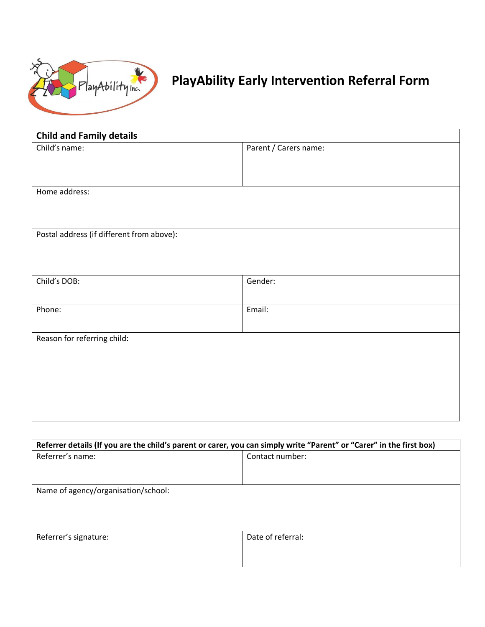

## **PlayAbility Early Intervention Referral Form**

| <b>Child and Family details</b>           |                       |
|-------------------------------------------|-----------------------|
| Child's name:                             | Parent / Carers name: |
|                                           |                       |
|                                           |                       |
| Home address:                             |                       |
|                                           |                       |
|                                           |                       |
| Postal address (if different from above): |                       |
|                                           |                       |
|                                           |                       |
| Child's DOB:                              | Gender:               |
|                                           |                       |
| Phone:                                    | Email:                |
|                                           |                       |
| Reason for referring child:               |                       |
|                                           |                       |
|                                           |                       |
|                                           |                       |
|                                           |                       |
|                                           |                       |

| Referrer details (If you are the child's parent or carer, you can simply write "Parent" or "Carer" in the first box) |                   |
|----------------------------------------------------------------------------------------------------------------------|-------------------|
| Referrer's name:                                                                                                     | Contact number:   |
|                                                                                                                      |                   |
|                                                                                                                      |                   |
| Name of agency/organisation/school:                                                                                  |                   |
|                                                                                                                      |                   |
|                                                                                                                      |                   |
|                                                                                                                      |                   |
| Referrer's signature:                                                                                                | Date of referral: |
|                                                                                                                      |                   |
|                                                                                                                      |                   |